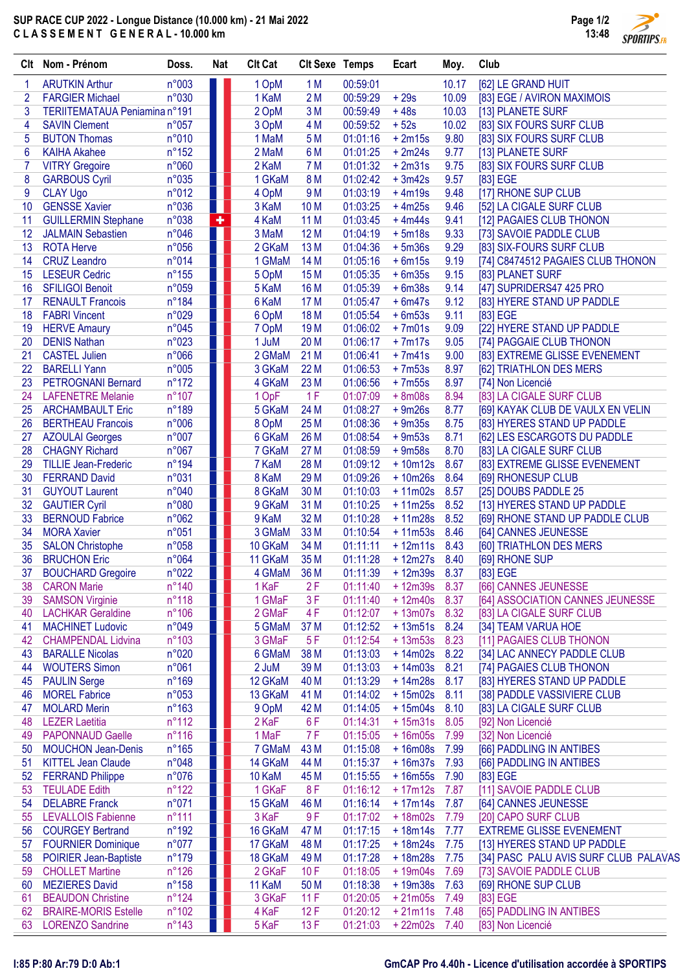## SUP RACE CUP 2022 - Longue Distance (10.000 km) - 21 Mai 2022 C L A S S E M E N T G E N E R A L - 10.000 km



| Clt            | Nom - Prénom                                            | Doss.                   | Nat | <b>Clt Cat</b>  | <b>CIt Sexe Temps</b> |                      | Ecart                  | Moy.         | Club                                                          |
|----------------|---------------------------------------------------------|-------------------------|-----|-----------------|-----------------------|----------------------|------------------------|--------------|---------------------------------------------------------------|
| 1              | <b>ARUTKIN Arthur</b>                                   | n°003                   |     | 1 OpM           | 1 <sub>M</sub>        | 00:59:01             |                        | 10.17        | [62] LE GRAND HUIT                                            |
| $\overline{2}$ | <b>FARGIER Michael</b>                                  | n°030                   |     | 1 KaM           | 2M                    | 00:59:29             | $+29s$                 | 10.09        | [83] EGE / AVIRON MAXIMOIS                                    |
| 3              | TERIITEMATAUA Peniamina n°191                           |                         |     | 2 OpM           | 3M                    | 00:59:49             | $+48s$                 | 10.03        | [13] PLANETE SURF                                             |
| 4              | <b>SAVIN Clement</b>                                    | n°057                   |     | 3 OpM           | 4 M                   | 00:59:52             | $+52s$                 | 10.02        | [83] SIX FOURS SURF CLUB                                      |
| 5              | <b>BUTON Thomas</b>                                     | n°010                   |     | 1 MaM           | 5 M                   | 01:01:16             | $+2m15s$               | 9.80         | [83] SIX FOURS SURF CLUB                                      |
| 6              | <b>KAIHA Akahee</b>                                     | $n^{\circ}152$          |     | 2 MaM           | 6 M                   | 01:01:25             | $+2m24s$               | 9.77         | [13] PLANETE SURF                                             |
| $\overline{7}$ | <b>VITRY Gregoire</b>                                   | n°060                   |     | 2 KaM           | 7 M                   | 01:01:32             | $+2m31s$               | 9.75         | [83] SIX FOURS SURF CLUB                                      |
| 8              | <b>GARBOUS Cyril</b>                                    | n°035                   |     | 1 GKaM          | 8 M                   | 01:02:42             | $+3m42s$               | 9.57         | [83] EGE                                                      |
| 9              | <b>CLAY Ugo</b>                                         | n°012                   |     | 4 OpM           | 9 M                   | 01:03:19             | $+4m19s$               | 9.48         | [17] RHONE SUP CLUB                                           |
| 10             | <b>GENSSE Xavier</b>                                    | n°036                   |     | 3 KaM           | 10 <sub>M</sub>       | 01:03:25             | $+4m25s$               | 9.46         | [52] LA CIGALE SURF CLUB                                      |
| 11             | <b>GUILLERMIN Stephane</b>                              | n°038                   | ٠   | 4 KaM           | 11 M                  | 01:03:45             | $+4m44s$               | 9.41         | [12] PAGAIES CLUB THONON                                      |
| 12<br>13       | <b>JALMAIN Sebastien</b><br><b>ROTA Herve</b>           | n°046<br>n°056          |     | 3 MaM<br>2 GKaM | 12M<br>13M            | 01:04:19<br>01:04:36 | $+5m18s$<br>$+5m36s$   | 9.33<br>9.29 | [73] SAVOIE PADDLE CLUB                                       |
| 14             | <b>CRUZ Leandro</b>                                     | n°014                   |     | 1 GMaM          | 14 M                  | 01:05:16             | $+6m15s$               | 9.19         | [83] SIX-FOURS SURF CLUB<br>[74] C8474512 PAGAIES CLUB THONON |
| 15             | <b>LESEUR Cedric</b>                                    | $n^{\circ}155$          |     | 5 OpM           | 15 M                  | 01:05:35             | $+6m35s$               | 9.15         | [83] PLANET SURF                                              |
| 16             | <b>SFILIGOI Benoit</b>                                  | n°059                   |     | 5 KaM           | 16 M                  | 01:05:39             | $+6m38s$               | 9.14         | [47] SUPRIDERS47 425 PRO                                      |
| 17             | <b>RENAULT Francois</b>                                 | n°184                   |     | 6 KaM           | 17 M                  | 01:05:47             | $+6m47s$               | 9.12         | [83] HYERE STAND UP PADDLE                                    |
| 18             | <b>FABRI Vincent</b>                                    | n°029                   |     | 6 OpM           | 18 M                  | 01:05:54             | $+6m53s$               | 9.11         | [83] EGE                                                      |
| 19             | <b>HERVE Amaury</b>                                     | n°045                   |     | 7 OpM           | 19 <sub>M</sub>       | 01:06:02             | $+7m01s$               | 9.09         | [22] HYERE STAND UP PADDLE                                    |
| 20             | <b>DENIS Nathan</b>                                     | n°023                   |     | 1 JuM           | 20 M                  | 01:06:17             | $+7m17s$               | 9.05         | [74] PAGGAIE CLUB THONON                                      |
| 21             | <b>CASTEL Julien</b>                                    | n°066                   |     | 2 GMaM          | 21 M                  | 01:06:41             | $+7m41s$               | 9.00         | [83] EXTREME GLISSE EVENEMENT                                 |
| 22             | <b>BARELLI Yann</b>                                     | n°005                   |     | 3 GKaM          | 22 M                  | 01:06:53             | $+7m53s$               | 8.97         | [62] TRIATHLON DES MERS                                       |
| 23             | <b>PETROGNANI Bernard</b>                               | $n^{\circ}172$          |     | 4 GKaM          | 23 M                  | 01:06:56             | $+7m55s$               | 8.97         | [74] Non Licencié                                             |
| 24             | <b>LAFENETRE Melanie</b>                                | $n^{\circ}107$          |     | 1 OpF           | 1F                    | 01:07:09             | $+8m08s$               | 8.94         | [83] LA CIGALE SURF CLUB                                      |
| 25             | <b>ARCHAMBAULT Eric</b>                                 | n°189                   | ٠.  | 5 GKaM          | 24 M                  | 01:08:27             | $+9m26s$               | 8.77         | [69] KAYAK CLUB DE VAULX EN VELIN                             |
| 26             | <b>BERTHEAU Francois</b>                                | n°006                   |     | 8 OpM           | 25 M                  | 01:08:36             | $+9m35s$               | 8.75         | [83] HYERES STAND UP PADDLE                                   |
| 27             | <b>AZOULAI Georges</b>                                  | n°007                   |     | 6 GKaM          | 26 M                  | 01:08:54             | $+9m53s$               | 8.71         | [62] LES ESCARGOTS DU PADDLE                                  |
| 28             | <b>CHAGNY Richard</b>                                   | n°067                   |     | 7 GKaM          | 27 M                  | 01:08:59             | $+9m58s$               | 8.70         | [83] LA CIGALE SURF CLUB                                      |
| 29             | <b>TILLIE Jean-Frederic</b>                             | $n^{\circ}$ 194         |     | 7 KaM           | 28 M                  | 01:09:12             | $+10m12s$              | 8.67         | [83] EXTREME GLISSE EVENEMENT                                 |
| 30             | <b>FERRAND David</b>                                    | n°031                   |     | 8 KaM           | 29 M                  | 01:09:26             | $+10m26s$              | 8.64         | [69] RHONESUP CLUB                                            |
| 31             | <b>GUYOUT Laurent</b>                                   | n°040                   |     | 8 GKaM          | 30 M                  | 01:10:03             | $+11m02s$              | 8.57         | [25] DOUBS PADDLE 25                                          |
| 32             | <b>GAUTIER Cyril</b>                                    | n°080                   |     | 9 GKaM          | 31 M                  | 01:10:25             | $+11m25s$              | 8.52         | [13] HYERES STAND UP PADDLE                                   |
| 33             | <b>BERNOUD Fabrice</b>                                  | n°062                   |     | 9 KaM           | 32 M                  | 01:10:28             | $+11m28s$              | 8.52         | [69] RHONE STAND UP PADDLE CLUB                               |
| 34             | <b>MORA Xavier</b>                                      | n°051                   |     | 3 GMaM          | 33 M                  | 01:10:54             | $+11m53s$              | 8.46         | [64] CANNES JEUNESSE                                          |
| 35             | <b>SALON Christophe</b>                                 | n°058                   |     | 10 GKaM         | 34 M                  | 01:11:11             | $+12m11s$              | 8.43         | [60] TRIATHLON DES MERS                                       |
| 36             | <b>BRUCHON Eric</b>                                     | n°064                   |     | 11 GKaM         | 35 M                  | 01:11:28             | $+12m27s$              | 8.40         | [69] RHONE SUP                                                |
| 37             | <b>BOUCHARD Gregoire</b>                                | n°022<br>n°140          |     | 4 GMaM          | 36 M<br>2F            | 01:11:39             | $+12m39s$<br>$+12m39s$ | 8.37         | [83] EGE<br>[66] CANNES JEUNESSE                              |
| 38<br>39       | <b>CARON Marie</b><br><b>SAMSON Virginie</b>            | $n^{\circ}118$          |     | 1 KaF<br>1 GMaF | 3F                    | 01:11:40<br>01:11:40 | $+12m40s$              | 8.37<br>8.37 | [64] ASSOCIATION CANNES JEUNESSE                              |
| 40             | <b>LACHKAR Geraldine</b>                                | $n^{\circ}106$          |     | 2 GMaF          | 4F                    | 01:12:07             | $+13m07s$              | 8.32         | [83] LA CIGALE SURF CLUB                                      |
| 41             | <b>MACHINET Ludovic</b>                                 | n°049                   |     | 5 GMaM          | 37 M                  | 01:12:52             | $+13m51s$              | 8.24         | [34] TEAM VARUA HOE                                           |
| 42             | <b>CHAMPENDAL Lidvina</b>                               | $n^{\circ}103$          |     | 3 GMaF          | 5F                    | 01:12:54             | $+13m53s$              | 8.23         | [11] PAGAIES CLUB THONON                                      |
| 43             | <b>BARALLE Nicolas</b>                                  | n°020                   |     | 6 GMaM          | 38 M                  | 01:13:03             | $+14m02s$              | 8.22         | [34] LAC ANNECY PADDLE CLUB                                   |
| 44             | <b>WOUTERS Simon</b>                                    | n°061                   |     | 2 JuM           | 39 M                  | 01:13:03             | $+14m03s$              | 8.21         | [74] PAGAIES CLUB THONON                                      |
| 45             | <b>PAULIN Serge</b>                                     | $n^{\circ}169$          |     | 12 GKaM         | 40 M                  | 01:13:29             | $+14m28s$              | 8.17         | [83] HYERES STAND UP PADDLE                                   |
| 46             | <b>MOREL Fabrice</b>                                    | n°053                   |     | 13 GKaM         | 41 M                  | 01:14:02             | $+15m02s$              | 8.11         | [38] PADDLE VASSIVIERE CLUB                                   |
| 47             | <b>MOLARD Merin</b>                                     | $n^{\circ}163$          |     | 9 OpM           | 42 M                  | 01:14:05             | $+15m04s$              | 8.10         | [83] LA CIGALE SURF CLUB                                      |
| 48             | <b>LEZER Laetitia</b>                                   | $n^{\circ}112$          |     | 2 KaF           | 6F                    | 01:14:31             | $+15m31s$              | 8.05         | [92] Non Licencié                                             |
| 49             | <b>PAPONNAUD Gaelle</b>                                 | $n^{\circ}116$          |     | 1 MaF           | 7 F                   | 01:15:05             | $+16m05s$              | 7.99         | [32] Non Licencié                                             |
| 50             | <b>MOUCHON Jean-Denis</b>                               | n°165                   |     | 7 GMaM          | 43 M                  | 01:15:08             | $+16m08s$              | 7.99         | [66] PADDLING IN ANTIBES                                      |
| 51             | <b>KITTEL Jean Claude</b>                               | n°048                   |     | 14 GKaM         | 44 M                  | 01:15:37             | $+16m37s$              | 7.93         | [66] PADDLING IN ANTIBES                                      |
| 52             | <b>FERRAND Philippe</b>                                 | n°076                   | ٠   | 10 KaM          | 45 M                  | 01:15:55             | $+16m55s$              | 7.90         | [83] EGE                                                      |
| 53             | <b>TEULADE Edith</b>                                    | $n^{\circ}122$          |     | 1 GKaF          | 8F                    | 01:16:12             | $+17m12s$              | 7.87         | [11] SAVOIE PADDLE CLUB                                       |
| 54             | <b>DELABRE Franck</b>                                   | n°071                   |     | 15 GKaM         | 46 M                  | 01:16:14             | $+17m14s$              | 7.87         | [64] CANNES JEUNESSE                                          |
| 55             | <b>LEVALLOIS Fabienne</b>                               | $n^{\circ}111$          |     | 3 KaF           | 9F                    | 01:17:02             | $+18m02s$              | 7.79         | [20] CAPO SURF CLUB                                           |
| 56             | <b>COURGEY Bertrand</b>                                 | $n^{\circ}192$          |     | 16 GKaM         | 47 M                  | 01:17:15             | $+18m14s$              | 7.77         | <b>EXTREME GLISSE EVENEMENT</b>                               |
| 57             | <b>FOURNIER Dominique</b>                               | $n^{\circ}077$          |     | 17 GKaM         | 48 M                  | 01:17:25             | $+18m24s$              | 7.75         | [13] HYERES STAND UP PADDLE                                   |
| 58             | <b>POIRIER Jean-Baptiste</b>                            | $n^{\circ}179$          |     | 18 GKaM         | 49 M                  | 01:17:28             | $+18m28s$              | 7.75         | [34] PASC PALU AVIS SURF CLUB PALAVAS                         |
| 59             | <b>CHOLLET Martine</b>                                  | $n^{\circ}126$          |     | 2 GKaF          | 10F                   | 01:18:05             | $+19m04s$              | 7.69         | [73] SAVOIE PADDLE CLUB                                       |
| 60             | <b>MEZIERES David</b>                                   | $n^{\circ}158$          |     | 11 KaM          | 50 M                  | 01:18:38             | $+19m38s$              | 7.63         | [69] RHONE SUP CLUB                                           |
| 61             | <b>BEAUDON Christine</b><br><b>BRAIRE-MORIS Estelle</b> | n°124<br>$n^{\circ}102$ |     | 3 GKaF<br>4 KaF | 11F                   | 01:20:05             | $+21m05s$<br>$+21m11s$ | 7.49<br>7.48 | [83] EGE<br>[65] PADDLING IN ANTIBES                          |
| 62<br>63       | <b>LORENZO Sandrine</b>                                 | $n^{\circ}$ 143         |     | 5 KaF           | 12F<br>13F            | 01:20:12<br>01:21:03 | $+22m02s$              | 7.40         | [83] Non Licencié                                             |
|                |                                                         |                         |     |                 |                       |                      |                        |              |                                                               |